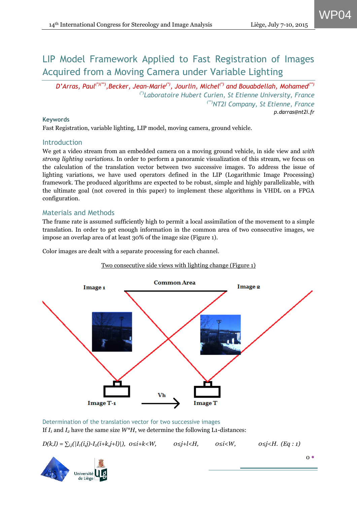WP04

# LIP Model Framework Applied to Fast Registration of Images Acquired from a Moving Camera under Variable Lighting

*D'Arras, Paul(\*)(\*\*),Becker, Jean-Marie(\*), Jourlin, Michel(\*) and Bouabdellah, Mohamed(\*\*) (\*)Laboratoire Hubert Curien, St Etienne University, France (\*\*)NT2I Company, St Etienne, France p.darras@nt2i.fr*

#### **Keywords**

Fast Registration, variable lighting, LIP model, moving camera, ground vehicle.

## **Introduction**

We get a video stream from an embedded camera on a moving ground vehicle, in side view and *with strong lighting variations*. In order to perform a panoramic visualization of this stream, we focus on the calculation of the translation vector between two successive images. To address the issue of lighting variations, we have used operators defined in the LIP (Logarithmic Image Processing) framework. The produced algorithms are expected to be robust, simple and highly parallelizable, with the ultimate goal (not covered in this paper) to implement these algorithms in VHDL on a FPGA configuration.

# Materials and Methods

The frame rate is assumed sufficiently high to permit a local assimilation of the movement to a simple translation. In order to get enough information in the common area of two consecutive images, we impose an overlap area of at least 30% of the image size (Figure 1).

Color images are dealt with a separate processing for each channel.

### Two consecutive side views with lighting change (Figure 1)



Determination of the translation vector for two successive images If  $I_1$  and  $I_2$  have the same size  $W^*H$ , we determine the following L<sub>1</sub>-distances:

*D*(*k,l*) = ∑*<sub><i>i*</sub>j</sub>( $|I_1(i,j) - I_2(i+k,j+l)$ ),  $0 \le i+k < W$ ,  $0 \le j+l < H$ ,  $0 \le i < W$ ,  $0 \le j < H$ . (*Eq* : 1)

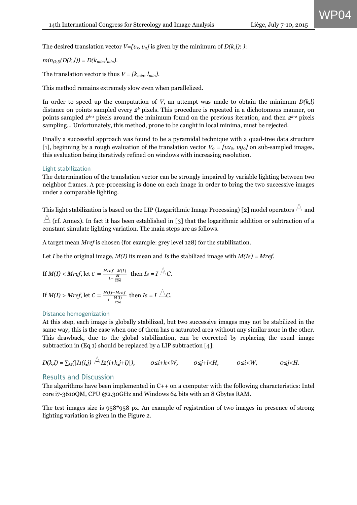WP04

The desired translation vector  $V=[v_x, v_y]$  is given by the minimum of  $D(k,l)$ : *)*:

*min*<sub>(k,l</sub>)(*D*(k,l)) = *D*( $k_{min}$ ,*l<sub>min</sub>*).

The translation vector is thus  $V = [k_{min}, l_{min}]$ .

This method remains extremely slow even when parallelized.

In order to speed up the computation of *V*, an attempt was made to obtain the minimum  $D(k,l)$ distance on points sampled every *2<sup>k</sup>* pixels. This procedure is repeated in a dichotomous manner, on points sampled *2k-1* pixels around the minimum found on the previous iteration, and then *2k-2* pixels sampling… Unfortunately, this method, prone to be caught in local minima, must be rejected.

Finally a successful approach was found to be a pyramidal technique with a quad-tree data structure [1], beginning by a rough evaluation of the translation vector  $V_0 = [vx_0, vy_0]$  on sub-sampled images, this evaluation being iteratively refined on windows with increasing resolution.

#### Light stabilization

The determination of the translation vector can be strongly impaired by variable lighting between two neighbor frames. A pre-processing is done on each image in order to bring the two successive images under a comparable lighting.

This light stabilization is based on the LIP (Logarithmic Image Processing) [2] model operators  $\hat{\mathbb{A}}$  and  $\triangle$  (cf. Annex). In fact it has been established in [3] that the logarithmic addition or subtraction of a constant simulate lighting variation. The main steps are as follows.

A target mean *Mref* is chosen (for example: grey level 128) for the stabilization.

Let *I* be the original image, *M(I)* its mean and *Is* the stabilized image with *M(Is) = Mref*.

If 
$$
M(I) < Mref
$$
, let  $C = \frac{Mref - M(I)}{1 - \frac{M}{256}}$  then  $Is = I \stackrel{\triangle}{\longrightarrow} C$ .

If 
$$
M(I) > Mref
$$
, let  $C = \frac{M(I) - Mref}{1 - \frac{M(I)}{256}}$  then  $Is = I \triangle C$ .

#### Distance homogenization

At this step, each image is globally stabilized, but two successive images may not be stabilized in the same way; this is the case when one of them has a saturated area without any similar zone in the other. This drawback, due to the global stabilization, can be corrected by replacing the usual image subtraction in (Eq 1) should be replaced by a LIP subtraction [4]:

$$
D(k,l)=\sum_{i,j}(|I1(i,j)\stackrel{\triangle}{=}I2(i+k,j+l)|),\qquad 0\leq i+k\leq W,\qquad 0\leq j+l\leq H,\qquad 0\leq i\leq W,\qquad 0\leq j\leq H.
$$

### Results and Discussion

The algorithms have been implemented in C++ on a computer with the following characteristics: Intel core i7-3610QM, CPU @2.30GHz and Windows 64 bits with an 8 Gbytes RAM.

The test images size is 958\*958 px. An example of registration of two images in presence of strong lighting variation is given in the Figure 2.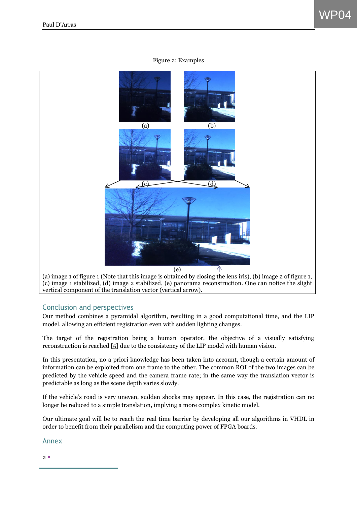#### Figure 2: Examples



(c) image 1 stabilized, (d) image 2 stabilized, (e) panorama reconstruction. One can notice the slight vertical component of the translation vector (vertical arrow).

### Conclusion and perspectives

Our method combines a pyramidal algorithm, resulting in a good computational time, and the LIP model, allowing an efficient registration even with sudden lighting changes.

The target of the registration being a human operator, the objective of a visually satisfying reconstruction is reached [5] due to the consistency of the LIP model with human vision.

In this presentation, no a priori knowledge has been taken into account, though a certain amount of information can be exploited from one frame to the other. The common ROI of the two images can be predicted by the vehicle speed and the camera frame rate; in the same way the translation vector is predictable as long as the scene depth varies slowly.

If the vehicle's road is very uneven, sudden shocks may appear. In this case, the registration can no longer be reduced to a simple translation, implying a more complex kinetic model.

Our ultimate goal will be to reach the real time barrier by developing all our algorithms in VHDL in order to benefit from their parallelism and the computing power of FPGA boards.

Annex

 $2<sub>0</sub>$